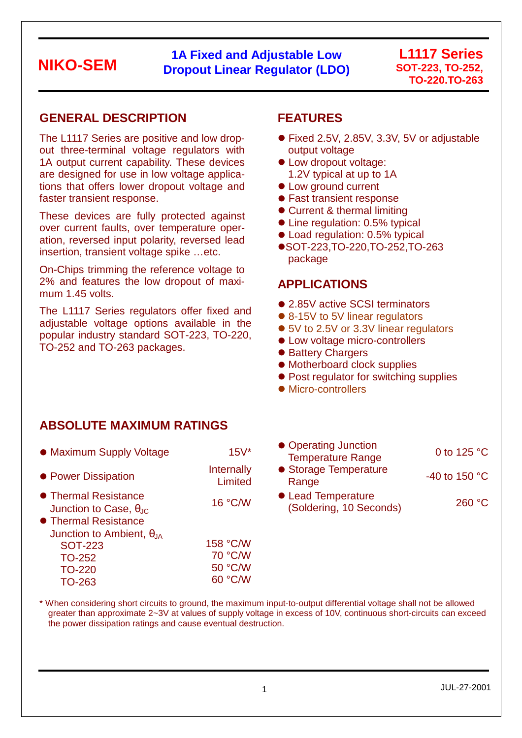### **1A Fixed and Adjustable Low Dropout Linear Regulator (LDO)**

#### **L1117 Series SOT-223, TO-252, TO-220,TO-263**

### **GENERAL DESCRIPTION**

The L1117 Series are positive and low dropout three-terminal voltage regulators with 1A output current capability. These devices are designed for use in low voltage applications that offers lower dropout voltage and faster transient response.

These devices are fully protected against over current faults, over temperature operation, reversed input polarity, reversed lead insertion, transient voltage spike …etc.

On-Chips trimming the reference voltage to 2% and features the low dropout of maximum 1.45 volts.

The L1117 Series regulators offer fixed and adjustable voltage options available in the popular industry standard SOT-223, TO-220, TO-252 and TO-263 packages.

### **FEATURES**

- Fixed 2.5V, 2.85V, 3.3V, 5V or adjustable output voltage
- Low dropout voltage: 1.2V typical at up to 1A
- Low ground current
- Fast transient response
- Current & thermal limiting
- Line regulation: 0.5% typical
- Load regulation: 0.5% typical
- SOT-223, TO-220, TO-252, TO-263 package

#### **APPLICATIONS**

- 2.85V active SCSI terminators
- 8-15V to 5V linear regulators
- 5V to 2.5V or 3.3V linear regulators
- Low voltage micro-controllers
- Battery Chargers
- Motherboard clock supplies
- Post regulator for switching supplies
- Micro-controllers

### **ABSOLUTE MAXIMUM RATINGS**

| • Maximum Supply Voltage                                                               | $15V*$                | • Operating Junction<br><b>Temperature Range</b> |
|----------------------------------------------------------------------------------------|-----------------------|--------------------------------------------------|
| • Power Dissipation                                                                    | Internally<br>Limited | • Storage Temperatur<br>Range                    |
| • Thermal Resistance<br>Junction to Case, $\theta_{\text{JC}}$<br>• Thermal Resistance | 16 °C/W               | • Lead Temperature<br>(Soldering, 10 Seco        |
| Junction to Ambient, $\theta_{JA}$                                                     | 158 °C/W              |                                                  |
| <b>SOT-223</b><br><b>TO-252</b>                                                        | 70 °C/W               |                                                  |
| <b>TO-220</b>                                                                          | 50 °C/W               |                                                  |

TO-263

| $15V*$               | • Operating Junction<br><b>Temperature Range</b> | 0 to 125 $\degree$ C |
|----------------------|--------------------------------------------------|----------------------|
| nternally<br>Limited | • Storage Temperature<br>Range                   | -40 to 150 °C        |
| 16 °C/W              | • Lead Temperature<br>(Soldering, 10 Seconds)    | 260 °C               |

\* When considering short circuits to ground, the maximum input-to-output differential voltage shall not be allowed greater than approximate 2~3V at values of supply voltage in excess of 10V, continuous short-circuits can exceed the power dissipation ratings and cause eventual destruction.

60 °C/W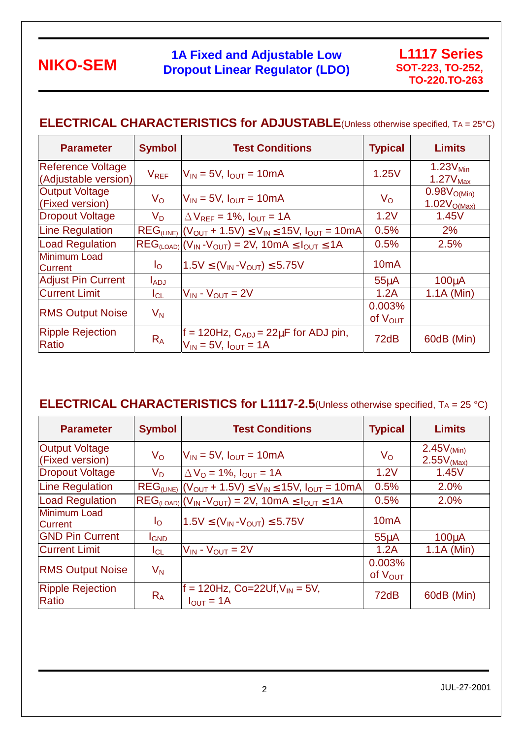### **1A Fixed and Adjustable Low Dropout Linear Regulator (LDO)**

### **ELECTRICAL CHARACTERISTICS for ADJUSTABLE**(Unless otherwise specified, TA = 25°C)

| <b>Parameter</b>                          | <b>Symbol</b>  | <b>Test Conditions</b>                                                          | <b>Typical</b>         | <b>Limits</b>                                      |
|-------------------------------------------|----------------|---------------------------------------------------------------------------------|------------------------|----------------------------------------------------|
| Reference Voltage<br>(Adjustable version) | $V_{REF}$      | $V_{IN}$ = 5V, $I_{OUT}$ = 10mA                                                 | 1.25V                  | $1.23V_{\text{Min}}$<br>$1.27V_{\text{Max}}$       |
| <b>Output Voltage</b><br>(Fixed version)  | $V_{\rm O}$    | $V_{IN}$ = 5V, $I_{OUT}$ = 10mA                                                 | $V_{\rm O}$            | 0.98V <sub>O(Min)</sub><br>1.02V <sub>O(Max)</sub> |
| <b>Dropout Voltage</b>                    | V <sub>D</sub> | $\Delta V_{REF}$ = 1%, $I_{OUT}$ = 1A                                           | 1.2V                   | 1.45V                                              |
| Line Regulation                           |                | $REG_{(LINE)}   (V_{OUT} + 1.5V) \leq V_{IN} \leq 15V, I_{OUT} = 10mA$          | 0.5%                   | 2%                                                 |
| <b>Load Regulation</b>                    |                | $REG_{(LOAD)}$ $(V_{IN}$ - $V_{OUT})$ = 2V, 10mA $\leq I_{OUT} \leq 1$ A        | 0.5%                   | 2.5%                                               |
| <b>Minimum Load</b><br><b>Current</b>     | $I_{\rm O}$    | $1.5V \leq (V_{IN} - V_{OUT}) \leq 5.75V$                                       | 10 <sub>m</sub> A      |                                                    |
| <b>Adjust Pin Current</b>                 | <b>LADJ</b>    |                                                                                 | 55 <sub>u</sub> A      | 100 <sub>u</sub> A                                 |
| <b>Current Limit</b>                      | $I_{CL}$       | $V_{IN}$ - $V_{OUT}$ = 2V                                                       | 1.2A                   | $1.1A$ (Min)                                       |
| <b>RMS Output Noise</b>                   | $V_N$          |                                                                                 | 0.003%<br>of $V_{OUT}$ |                                                    |
| <b>Ripple Rejection</b><br>Ratio          | $R_A$          | f = 120Hz, $C_{ADJ}$ = 22 $\mu$ F for ADJ pin,<br>$V_{IN}$ = 5V, $I_{OUT}$ = 1A | 72dB                   | 60dB (Min)                                         |

### **ELECTRICAL CHARACTERISTICS for L1117-2.5**(Unless otherwise specified, TA = 25 °C)

| <b>Parameter</b>                         | <b>Symbol</b>             | <b>Test Conditions</b>                                                     | <b>Typical</b>                | <b>Limits</b>                                        |
|------------------------------------------|---------------------------|----------------------------------------------------------------------------|-------------------------------|------------------------------------------------------|
| <b>Output Voltage</b><br>(Fixed version) | $V_{\rm O}$               | $V_{IN}$ = 5V, $I_{OUT}$ = 10mA                                            | $V_{\rm O}$                   | $2.45V$ <sub>(Min)</sub><br>$2.55V$ <sub>(Max)</sub> |
| <b>Dropout Voltage</b>                   | V <sub>D.</sub>           | $\Delta V_O = 1\%$ , $I_{OUT} = 1A$                                        | 1.2V                          | 1.45V                                                |
| <b>Line Regulation</b>                   |                           | $REG_{(LINE)}   (V_{OUT} + 1.5V) \leq V_{IN} \leq 15V, I_{OUT} = 10mA$     | 0.5%                          | 2.0%                                                 |
| <b>Load Regulation</b>                   |                           | $REG_{(LOAD)}$ $(V_{IN}$ - $V_{OUT}$ $= 2V$ , 10mA $\leq I_{OUT} \leq 1$ A | 0.5%                          | 2.0%                                                 |
| <b>Minimum Load</b><br><b>Current</b>    | $I_{\rm O}$               | $1.5V \leq (V_{IN} - V_{OUT}) \leq 5.75V$                                  | 10 <sub>m</sub> A             |                                                      |
| <b>GND Pin Current</b>                   | <b>I</b> GND              |                                                                            | $55\mu A$                     | $100\muA$                                            |
| <b>Current Limit</b>                     | IcL                       | $V_{IN}$ - $V_{OUT}$ = 2V                                                  | 1.2A                          | $1.1A$ (Min)                                         |
| <b>RMS Output Noise</b>                  | $\mathsf{V}_{\mathsf{N}}$ |                                                                            | 0.003%<br>of $V_{\text{OUT}}$ |                                                      |
| <b>Ripple Rejection</b><br>Ratio         | $R_A$                     | $f = 120$ Hz, Co=22Uf, V <sub>IN</sub> = 5V,<br>$I_{OUT} = 1A$             | 72dB                          | 60dB (Min)                                           |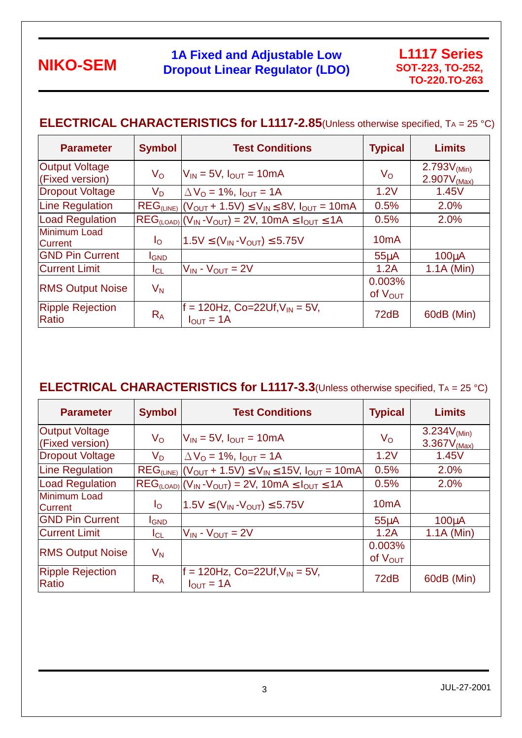### **1A Fixed and Adjustable Low Dropout Linear Regulator (LDO)**

### **ELECTRICAL CHARACTERISTICS for L1117-2.85**(Unless otherwise specified, TA = 25 °C)

| <b>Parameter</b>                         | <b>Symbol</b>             | <b>Test Conditions</b>                                                | <b>Typical</b>         | <b>Limits</b>                                |
|------------------------------------------|---------------------------|-----------------------------------------------------------------------|------------------------|----------------------------------------------|
| <b>Output Voltage</b><br>(Fixed version) | $V_{\rm O}$               | $V_{IN}$ = 5V, $I_{OUT}$ = 10mA                                       | $V_{\rm O}$            | 2.793 $V_{(Min)}$<br>2.907V <sub>(Max)</sub> |
| <b>Dropout Voltage</b>                   | Vn                        | $\Delta V_O$ = 1%, $I_{OUT}$ = 1A                                     | 1.2V                   | 1.45V                                        |
| <b>Line Regulation</b>                   |                           | $REG_{(LINE)}   (V_{OUT} + 1.5V) \le V_{IN} \le 8V, I_{OUT} = 10mA$   | 0.5%                   | 2.0%                                         |
| <b>Load Regulation</b>                   |                           | $REG_{(LOAD)} (V_{IN}-V_{OUT}) = 2V, 10mA \leq I_{OUT} \leq 1A$       | 0.5%                   | 2.0%                                         |
| <b>Minimum Load</b><br><b>Current</b>    | $I_{\rm O}$               | $1.5V \leq (V_{IN} - V_{OUT}) \leq 5.75V$                             | 10 <sub>m</sub> A      |                                              |
| <b>GND Pin Current</b>                   | <b>I</b> GND              |                                                                       | 55 <sub>u</sub> A      | 100 <sub>u</sub> A                           |
| <b>Current Limit</b>                     | ICL                       | $V_{IN}$ - $V_{OUT} = 2V$                                             | 1.2A                   | $1.1A$ (Min)                                 |
| <b>RMS Output Noise</b>                  | $\mathsf{V}_{\mathsf{N}}$ |                                                                       | 0.003%<br>of $V_{OUT}$ |                                              |
| <b>Ripple Rejection</b><br>Ratio         | $R_{A}$                   | $f = 120$ Hz, Co=22Uf, V <sub>IN</sub> = 5V,<br>$I_{\text{OUT}} = 1A$ | 72dB                   | 60dB (Min)                                   |

### **ELECTRICAL CHARACTERISTICS for L1117-3.3**(Unless otherwise specified, TA = 25 °C)

| <b>Parameter</b>                         | <b>Symbol</b>             | <b>Test Conditions</b>                                                      | <b>Typical</b>                | <b>Limits</b>                                |
|------------------------------------------|---------------------------|-----------------------------------------------------------------------------|-------------------------------|----------------------------------------------|
| <b>Output Voltage</b><br>(Fixed version) | $V_{\rm O}$               | $V_{IN}$ = 5V, $I_{OUT}$ = 10mA                                             | $V_{\rm O}$                   | 3.234 $V_{(Min)}$<br>3.367V <sub>(Max)</sub> |
| <b>Dropout Voltage</b>                   | V <sub>D</sub>            | $\Delta V_O$ = 1%, $I_{OUT}$ = 1A                                           | 1.2V                          | 1.45V                                        |
| <b>Line Regulation</b>                   |                           | $REG_{(LINE)}   (V_{OUT} + 1.5V) \le V_{IN} \le 15V, I_{OUT} = 10mA$        | 0.5%                          | 2.0%                                         |
| <b>Load Regulation</b>                   |                           | $REG_{(LOAD)}$ $(V_{IN}$ - $V_{OUT})$ = 2V, 10mA $\leq$ $I_{OUT}$ $\leq$ 1A | 0.5%                          | 2.0%                                         |
| <b>Minimum Load</b><br><b>Current</b>    | $I_{\rm O}$               | $1.5V \leq (V_{IN} - V_{OUT}) \leq 5.75V$                                   | 10 <sub>m</sub> A             |                                              |
| <b>GND Pin Current</b>                   | <b>I</b> GND              |                                                                             | $55\mu A$                     | $100\muA$                                    |
| <b>Current Limit</b>                     | IcL                       | $V_{IN}$ - $V_{OUT}$ = 2V                                                   | 1.2A                          | $1.1A$ (Min)                                 |
| <b>RMS Output Noise</b>                  | $\mathsf{V}_{\mathsf{N}}$ |                                                                             | 0.003%<br>of $V_{\text{OUT}}$ |                                              |
| <b>Ripple Rejection</b><br>Ratio         | $R_A$                     | $f = 120$ Hz, Co=22Uf, V <sub>IN</sub> = 5V,<br>$I_{\text{OUT}} = 1A$       | 72dB                          | 60dB (Min)                                   |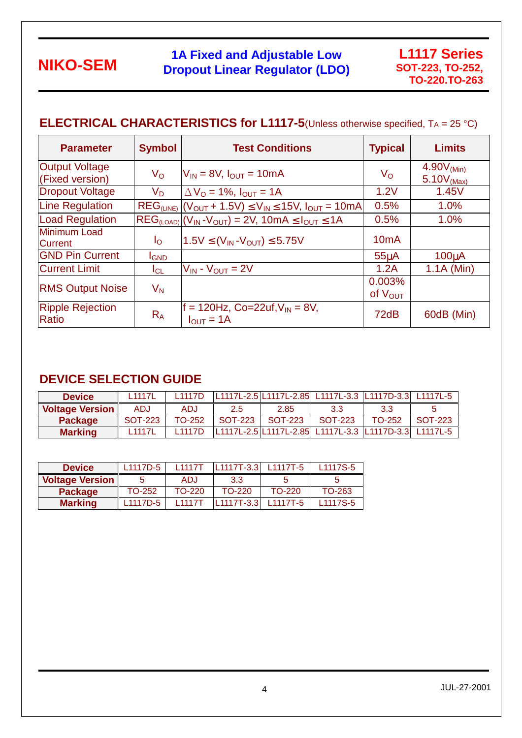### **1A Fixed and Adjustable Low Dropout Linear Regulator (LDO)**

### **ELECTRICAL CHARACTERISTICS for L1117-5**(Unless otherwise specified, TA = 25 °C)

| <b>Parameter</b>                         | <b>Symbol</b>             | <b>Test Conditions</b>                                               | <b>Typical</b>         | <b>Limits</b>                           |
|------------------------------------------|---------------------------|----------------------------------------------------------------------|------------------------|-----------------------------------------|
| <b>Output Voltage</b><br>(Fixed version) | $V_{\rm O}$               | $V_{IN}$ = 8V, $I_{OUT}$ = 10mA                                      | $V_{\rm O}$            | 4.90V <sub>(Min)</sub><br>$5.10V$ (Max) |
| Dropout Voltage                          | V <sub>D</sub>            | $\Delta V_{\Omega}$ = 1%, $I_{\text{OUT}}$ = 1A                      | 1.2V                   | 1.45V                                   |
| Line Regulation                          |                           | $REG_{(LINE)}   (V_{OUT} + 1.5V) \le V_{IN} \le 15V, I_{OUT} = 10mA$ | 0.5%                   | 1.0%                                    |
| <b>Load Regulation</b>                   |                           | $REG_{(LOAD)} (V_{IN}-V_{OUT}) = 2V, 10mA \leq I_{OUT} \leq 1A$      | 0.5%                   | 1.0%                                    |
| <b>Minimum Load</b><br><b>Current</b>    | $I_{\rm O}$               | $1.5V \leq (V_{IN} - V_{OUT}) \leq 5.75V$                            | 10 <sub>m</sub> A      |                                         |
| <b>GND Pin Current</b>                   | <b>I</b> GND              |                                                                      | 55 <sub>u</sub> A      | 100 <sub>u</sub> A                      |
| <b>Current Limit</b>                     | ICL                       | $V_{IN}$ - $V_{OUT}$ = 2V                                            | 1.2A                   | $1.1A$ (Min)                            |
| <b>RMS Output Noise</b>                  | $\mathsf{V}_{\mathsf{N}}$ |                                                                      | 0.003%<br>of $V_{OUT}$ |                                         |
| <b>Ripple Rejection</b><br>Ratio         | $R_{A}$                   | $f = 120$ Hz, Co=22uf, $V_{IN} = 8V$ ,<br>$I_{\text{OUT}} = 1A$      | 72dB                   | 60dB (Min)                              |

### **DEVICE SELECTION GUIDE**

| <b>Device</b>          | L <sub>1117</sub> L | l 1117D |         | L1117L-2.5 L1117L-2.85 L1117L-3.3 L1117D-3.3 L1117L-5 |         |          |         |
|------------------------|---------------------|---------|---------|-------------------------------------------------------|---------|----------|---------|
| <b>Voltage Version</b> | ADJ.                | ADJ     | 2.5     | 2.85                                                  | 3.3     | 3.3      |         |
| <b>Package</b>         | SOT-223             | TO-252  | SOT-223 | SOT-223                                               | SOT-223 | $TO-252$ | SOT-223 |
| <b>Marking</b>         | L <sub>1117</sub> L | l 1117D |         | L1117L-2.5 L1117L-2.85 L1117L-3.3 L1117D-3.3 L1117L-5 |         |          |         |

| <b>Device</b>          | L <sub>1117</sub> D-5 | 11117T | L1117T-3.3 L1117T-5 |        | L <sub>1117</sub> S-5 |
|------------------------|-----------------------|--------|---------------------|--------|-----------------------|
| <b>Voltage Version</b> |                       | ADJ    | 3.3                 |        |                       |
| <b>Package</b>         | TO-252                | TO-220 | $TO-220$            | TO-220 | TO-263                |
| <b>Marking</b>         | L <sub>1117</sub> D-5 | 11177  | L1117T-3.3 L1117T-5 |        | L <sub>1117</sub> S-5 |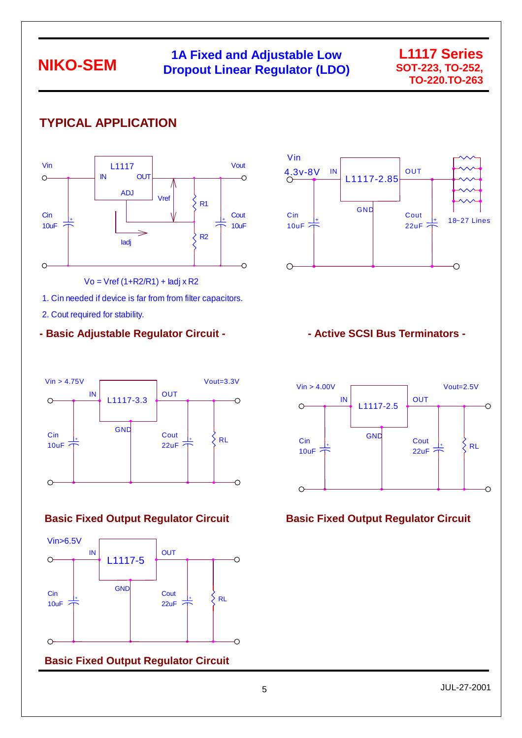### **1A Fixed and Adjustable Low Dropout Linear Regulator (LDO)**

#### **L1117 Series SOT-223, TO-252, TO-220,TO-263**

# **TYPICAL APPLICATION**



Vo = Vref (1+R2/R1) + Iadj x R2

1. Cin needed if device is far from from filter capacitors.

2. Cout required for stability.

#### - Basic Adjustable Regulator Circuit - **Netwith and Active SCSI Bus Terminators -**





#### **Basic Fixed Output Regulator Circuit**





#### **Basic Fixed Output Regulator Circuit Circuit Basic Fixed Output Regulator Circuit**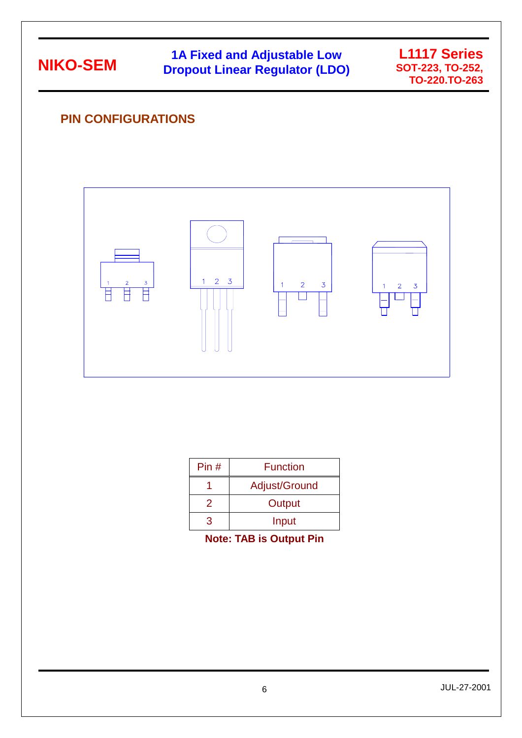# **1A Fixed and Adjustable Low Dropout Linear Regulator (LDO)**



### **PIN CONFIGURATIONS**



| Pin# | <b>Function</b> |
|------|-----------------|
|      | Adjust/Ground   |
| 2    | Output          |
|      | Input           |

**Note: TAB is Output Pin**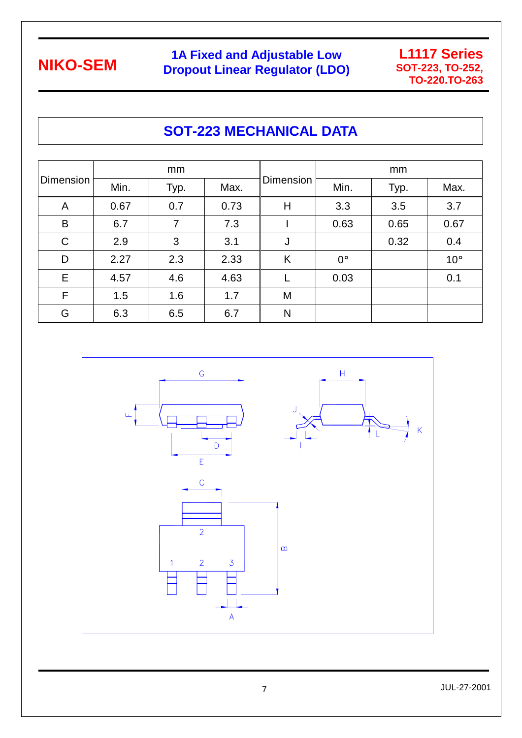I

# **1A Fixed and Adjustable Low Dropout Linear Regulator (LDO)**



# **SOT-223 MECHANICAL DATA**

| <b>Dimension</b> | mm   |      |      |                  | mm          |      |              |
|------------------|------|------|------|------------------|-------------|------|--------------|
|                  | Min. | Typ. | Max. | <b>Dimension</b> | Min.        | Typ. | Max.         |
| A                | 0.67 | 0.7  | 0.73 | Η                | 3.3         | 3.5  | 3.7          |
| B                | 6.7  | 7    | 7.3  |                  | 0.63        | 0.65 | 0.67         |
| $\mathsf C$      | 2.9  | 3    | 3.1  | J                |             | 0.32 | 0.4          |
| D                | 2.27 | 2.3  | 2.33 | K                | $0^{\circ}$ |      | $10^{\circ}$ |
| Е                | 4.57 | 4.6  | 4.63 |                  | 0.03        |      | 0.1          |
| F                | 1.5  | 1.6  | 1.7  | M                |             |      |              |
| G                | 6.3  | 6.5  | 6.7  | N                |             |      |              |



JUL-27-2001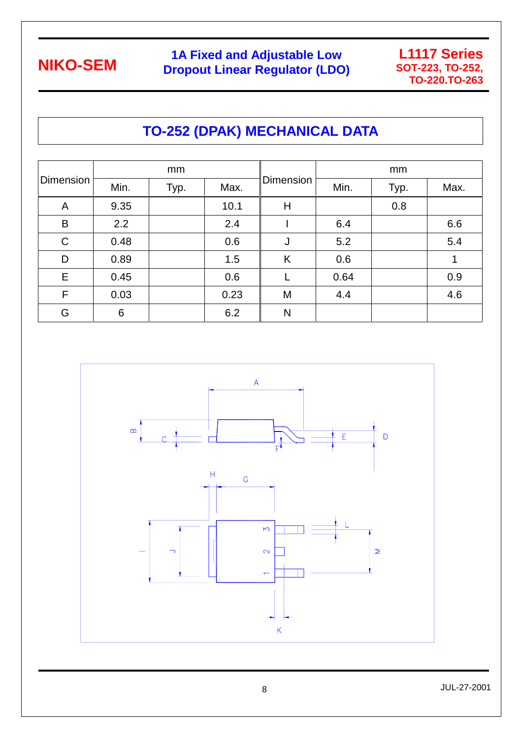# **1A Fixed and Adjustable Low Dropout Linear Regulator (LDO)**



# **TO-252 (DPAK) MECHANICAL DATA**

| <b>Dimension</b> | mm   |      |      |           | mm   |      |      |
|------------------|------|------|------|-----------|------|------|------|
|                  | Min. | Typ. | Max. | Dimension | Min. | Typ. | Max. |
| A                | 9.35 |      | 10.1 | Н         |      | 0.8  |      |
| B                | 2.2  |      | 2.4  |           | 6.4  |      | 6.6  |
| $\mathsf C$      | 0.48 |      | 0.6  | J         | 5.2  |      | 5.4  |
| D                | 0.89 |      | 1.5  | K         | 0.6  |      |      |
| E.               | 0.45 |      | 0.6  |           | 0.64 |      | 0.9  |
| F                | 0.03 |      | 0.23 | M         | 4.4  |      | 4.6  |
| G                | 6    |      | 6.2  | N         |      |      |      |

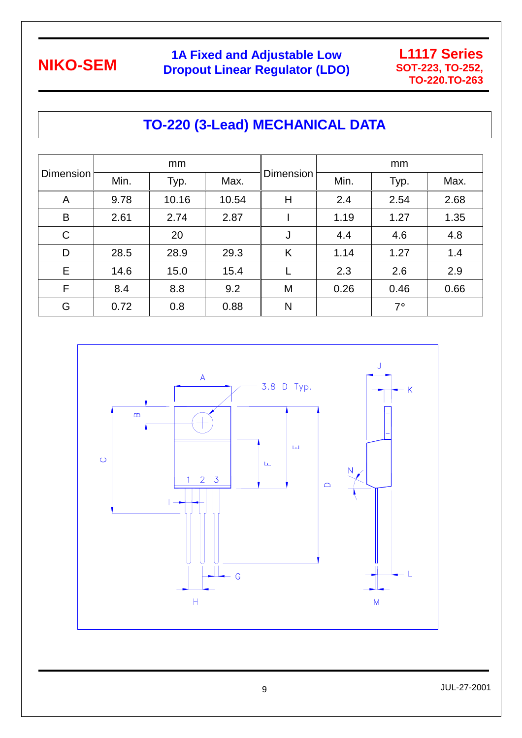# **1A Fixed and Adjustable Low Dropout Linear Regulator (LDO)**



# **TO-220 (3-Lead) MECHANICAL DATA**

| <b>Dimension</b> | mm   |       |       |                  | mm   |           |      |
|------------------|------|-------|-------|------------------|------|-----------|------|
|                  | Min. | Typ.  | Max.  | <b>Dimension</b> | Min. | Typ.      | Max. |
| A                | 9.78 | 10.16 | 10.54 | Н                | 2.4  | 2.54      | 2.68 |
| B                | 2.61 | 2.74  | 2.87  |                  | 1.19 | 1.27      | 1.35 |
| $\mathsf C$      |      | 20    |       | J                | 4.4  | 4.6       | 4.8  |
| D                | 28.5 | 28.9  | 29.3  | K                | 1.14 | 1.27      | 1.4  |
| E                | 14.6 | 15.0  | 15.4  |                  | 2.3  | 2.6       | 2.9  |
| $\mathsf{F}$     | 8.4  | 8.8   | 9.2   | M                | 0.26 | 0.46      | 0.66 |
| G                | 0.72 | 0.8   | 0.88  | N                |      | $7^\circ$ |      |